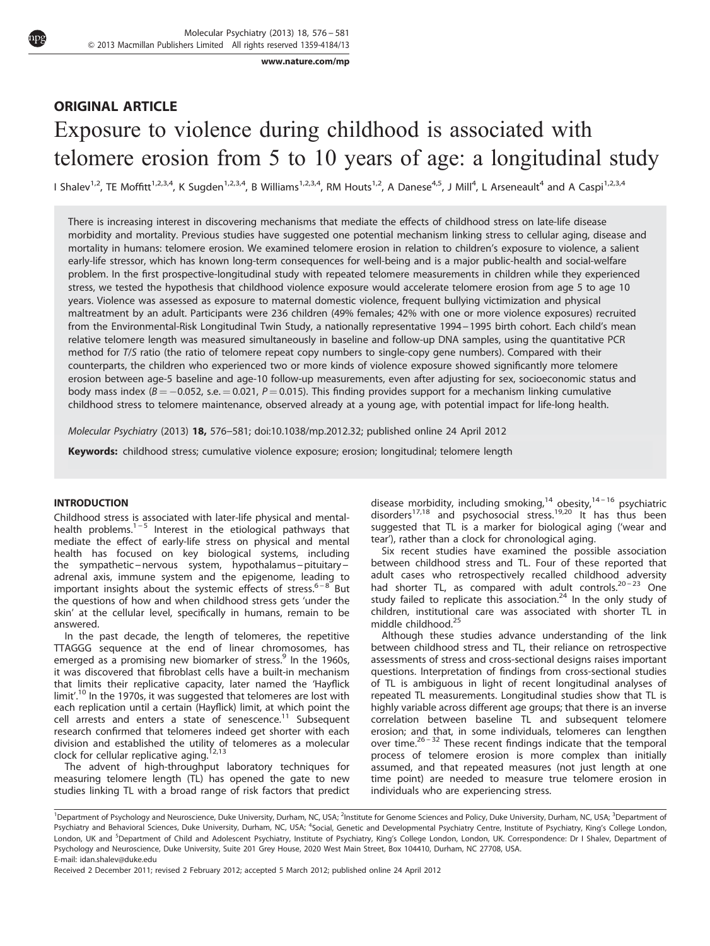[www.nature.com/mp](http://www.nature.com/)

# ORIGINAL ARTICLE Exposure to violence during childhood is associated with telomere erosion from 5 to 10 years of age: a longitudinal study

I Shalev<sup>1,2</sup>, TE Moffitt<sup>1,2,3,4</sup>, K Sugden<sup>1,2,3,4</sup>, B Williams<sup>1,2,3,4</sup>, RM Houts<sup>1,2</sup>, A Danese<sup>4,5</sup>, J Mill<sup>4</sup>, L Arseneault<sup>4</sup> and A Caspi<sup>1,2,3,4</sup>

There is increasing interest in discovering mechanisms that mediate the effects of childhood stress on late-life disease morbidity and mortality. Previous studies have suggested one potential mechanism linking stress to cellular aging, disease and mortality in humans: telomere erosion. We examined telomere erosion in relation to children's exposure to violence, a salient early-life stressor, which has known long-term consequences for well-being and is a major public-health and social-welfare problem. In the first prospective-longitudinal study with repeated telomere measurements in children while they experienced stress, we tested the hypothesis that childhood violence exposure would accelerate telomere erosion from age 5 to age 10 years. Violence was assessed as exposure to maternal domestic violence, frequent bullying victimization and physical maltreatment by an adult. Participants were 236 children (49% females; 42% with one or more violence exposures) recruited from the Environmental-Risk Longitudinal Twin Study, a nationally representative 1994-1995 birth cohort. Each child's mean relative telomere length was measured simultaneously in baseline and follow-up DNA samples, using the quantitative PCR method for T/S ratio (the ratio of telomere repeat copy numbers to single-copy gene numbers). Compared with their counterparts, the children who experienced two or more kinds of violence exposure showed significantly more telomere erosion between age-5 baseline and age-10 follow-up measurements, even after adjusting for sex, socioeconomic status and body mass index  $(B = -0.052, s.e. = 0.021, P = 0.015)$ . This finding provides support for a mechanism linking cumulative childhood stress to telomere maintenance, observed already at a young age, with potential impact for life-long health.

Molecular Psychiatry (2013) 18, 576--581; doi[:10.1038/mp.2012.32;](http://dx.doi.org/10.1038/mp.2012.32) published online 24 April 2012

Keywords: childhood stress; cumulative violence exposure; erosion; longitudinal; telomere length

# INTRODUCTION

Childhood stress is associated with later-life physical and mental-<br>health problems.<sup>1–5</sup> Interest in the etiological pathways that mediate the effect of early-life stress on physical and mental health has focused on key biological systems, including the sympathetic-nervous system, hypothalamus-pituitaryadrenal axis, immune system and the epigenome, leading to important insights about the systemic effects of stress. $6-8$  But the questions of how and when childhood stress gets 'under the skin' at the cellular level, specifically in humans, remain to be answered.

In the past decade, the length of telomeres, the repetitive TTAGGG sequence at the end of linear chromosomes, has emerged as a promising new biomarker of stress.<sup>[9](#page-4-0)</sup> In the 1960s, it was discovered that fibroblast cells have a built-in mechanism that limits their replicative capacity, later named the 'Hayflick limit'.<sup>[10](#page-4-0)</sup> In the 1970s, it was suggested that telomeres are lost with each replication until a certain (Hayflick) limit, at which point the cell arrests and enters a state of senescence.<sup>[11](#page-4-0)</sup> Subsequent research confirmed that telomeres indeed get shorter with each division and established the utility of telomeres as a molecular<br>clock for cellular replicative aging.<sup>[12,13](#page-4-0)</sup>

The advent of high-throughput laboratory techniques for measuring telomere length (TL) has opened the gate to new studies linking TL with a broad range of risk factors that predict

disease morbidity, including smoking,<sup>[14](#page-4-0)</sup> obesity,<sup>14-16</sup> psychiatric disorders<sup>[17,18](#page-4-0)</sup> and psychosocial stress.<sup>[19,20](#page-4-0)</sup> It has thus been suggested that TL is a marker for biological aging ('wear and tear'), rather than a clock for chronological aging.

Six recent studies have examined the possible association between childhood stress and TL. Four of these reported that adult cases who retrospectively recalled childhood adversity had shorter TL, as compared with adult controls. $20 - 23$  One study failed to replicate this association. $24$  In the only study of children, institutional care was associated with shorter TL in middle childhood.[25](#page-4-0)

Although these studies advance understanding of the link between childhood stress and TL, their reliance on retrospective assessments of stress and cross-sectional designs raises important questions. Interpretation of findings from cross-sectional studies of TL is ambiguous in light of recent longitudinal analyses of repeated TL measurements. Longitudinal studies show that TL is highly variable across different age groups; that there is an inverse correlation between baseline TL and subsequent telomere erosion; and that, in some individuals, telomeres can lengthen over time. $26 - 32$  These recent findings indicate that the temporal process of telomere erosion is more complex than initially assumed, and that repeated measures (not just length at one time point) are needed to measure true telomere erosion in individuals who are experiencing stress.

Received 2 December 2011; revised 2 February 2012; accepted 5 March 2012; published online 24 April 2012

<sup>&</sup>lt;sup>1</sup>Department of Psychology and Neuroscience, Duke University, Durham, NC, USA; <sup>2</sup>Institute for Genome Sciences and Policy, Duke University, Durham, NC, USA; <sup>3</sup>Department of Psychiatry and Behavioral Sciences, Duke University, Durham, NC, USA; <sup>4</sup>Social, Genetic and Developmental Psychiatry Centre, Institute of Psychiatry, King's College London, London, UK and <sup>5</sup>Department of Child and Adolescent Psychiatry, Institute of Psychiatry, King's College London, London, UK. Correspondence: Dr I Shalev, Department of Psychology and Neuroscience, Duke University, Suite 201 Grey House, 2020 West Main Street, Box 104410, Durham, NC 27708, USA. E-mail: [idan.shalev@duke.edu](mailto:idan.shalev@duke.edu)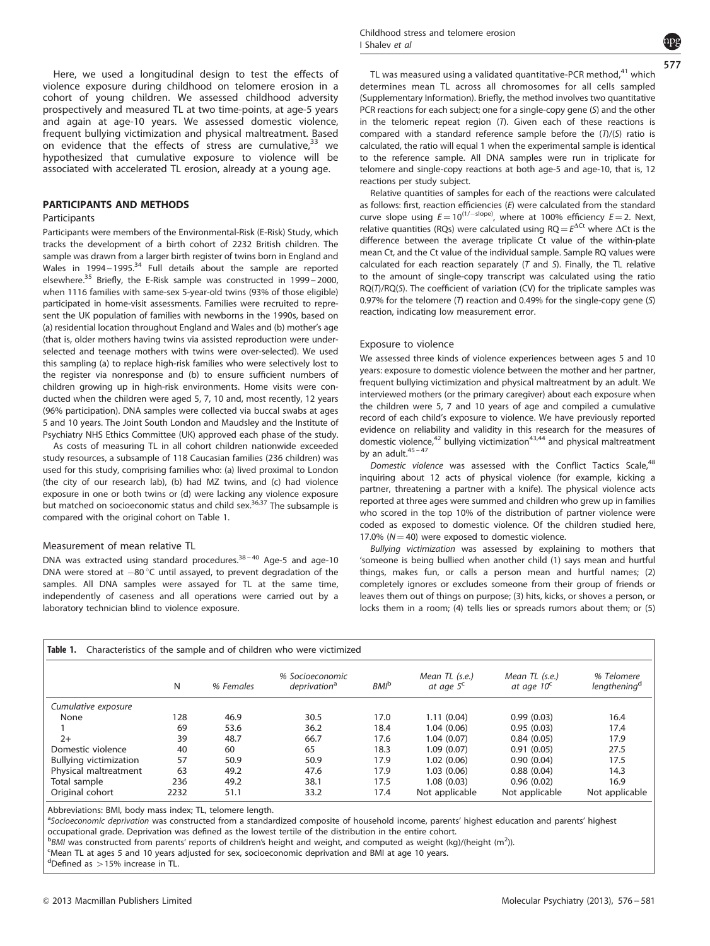<span id="page-1-0"></span>Here, we used a longitudinal design to test the effects of violence exposure during childhood on telomere erosion in a cohort of young children. We assessed childhood adversity prospectively and measured TL at two time-points, at age-5 years and again at age-10 years. We assessed domestic violence, frequent bullying victimization and physical maltreatment. Based on evidence that the effects of stress are cumulative, $33$  we hypothesized that cumulative exposure to violence will be associated with accelerated TL erosion, already at a young age.

## PARTICIPANTS AND METHODS

## **Participants**

Participants were members of the Environmental-Risk (E-Risk) Study, which tracks the development of a birth cohort of 2232 British children. The sample was drawn from a larger birth register of twins born in England and Wales in 1994 $-$ 1995.<sup>[34](#page-5-0)</sup> Full details about the sample are reported elsewhere.<sup>[35](#page-5-0)</sup> Briefly, the E-Risk sample was constructed in 1999-2000, when 1116 families with same-sex 5-year-old twins (93% of those eligible) participated in home-visit assessments. Families were recruited to represent the UK population of families with newborns in the 1990s, based on (a) residential location throughout England and Wales and (b) mother's age (that is, older mothers having twins via assisted reproduction were underselected and teenage mothers with twins were over-selected). We used this sampling (a) to replace high-risk families who were selectively lost to the register via nonresponse and (b) to ensure sufficient numbers of children growing up in high-risk environments. Home visits were conducted when the children were aged 5, 7, 10 and, most recently, 12 years (96% participation). DNA samples were collected via buccal swabs at ages 5 and 10 years. The Joint South London and Maudsley and the Institute of Psychiatry NHS Ethics Committee (UK) approved each phase of the study.

As costs of measuring TL in all cohort children nationwide exceeded study resources, a subsample of 118 Caucasian families (236 children) was used for this study, comprising families who: (a) lived proximal to London (the city of our research lab), (b) had MZ twins, and (c) had violence exposure in one or both twins or (d) were lacking any violence exposure but matched on socioeconomic status and child sex.<sup>36,37</sup> The subsample is compared with the original cohort on Table 1.

#### Measurement of mean relative TL

DNA was extracted using standard procedures. $38 - 40$  Age-5 and age-10 DNA were stored at  $-80^{\circ}$ C until assayed, to prevent degradation of the samples. All DNA samples were assayed for TL at the same time, independently of caseness and all operations were carried out by a laboratory technician blind to violence exposure.



TL was measured using a validated quantitative-PCR method,<sup>[41](#page-5-0)</sup> which determines mean TL across all chromosomes for all cells sampled (Supplementary Information). Briefly, the method involves two quantitative PCR reactions for each subject; one for a single-copy gene (S) and the other in the telomeric repeat region  $(T)$ . Given each of these reactions is compared with a standard reference sample before the  $(T)/(S)$  ratio is calculated, the ratio will equal 1 when the experimental sample is identical to the reference sample. All DNA samples were run in triplicate for telomere and single-copy reactions at both age-5 and age-10, that is, 12 reactions per study subject.

Relative quantities of samples for each of the reactions were calculated as follows: first, reaction efficiencies (E) were calculated from the standard curve slope using  $E = 10^{(1/- slope)}$ , where at 100% efficiency  $E = 2$ . Next, relative quantities (RQs) were calculated using  $RQ = E^{\Delta Ct}$  where  $\Delta Ct$  is the difference between the average triplicate Ct value of the within-plate mean Ct, and the Ct value of the individual sample. Sample RQ values were calculated for each reaction separately  $(T \text{ and } S)$ . Finally, the TL relative to the amount of single-copy transcript was calculated using the ratio RQ(T)/RQ(S). The coefficient of variation (CV) for the triplicate samples was 0.97% for the telomere  $(T)$  reaction and 0.49% for the single-copy gene  $(S)$ reaction, indicating low measurement error.

#### Exposure to violence

We assessed three kinds of violence experiences between ages 5 and 10 years: exposure to domestic violence between the mother and her partner, frequent bullying victimization and physical maltreatment by an adult. We interviewed mothers (or the primary caregiver) about each exposure when the children were 5, 7 and 10 years of age and compiled a cumulative record of each child's exposure to violence. We have previously reported evidence on reliability and validity in this research for the measures of domestic violence,<sup>[42](#page-5-0)</sup> bullying victimization<sup>[43,44](#page-5-0)</sup> and physical maltreatment by an adult. $45 - 47$ 

Domestic violence was assessed with the Conflict Tactics Scale, <sup>[48](#page-5-0)</sup> inquiring about 12 acts of physical violence (for example, kicking a partner, threatening a partner with a knife). The physical violence acts reported at three ages were summed and children who grew up in families who scored in the top 10% of the distribution of partner violence were coded as exposed to domestic violence. Of the children studied here, 17.0% ( $N = 40$ ) were exposed to domestic violence.

Bullying victimization was assessed by explaining to mothers that 'someone is being bullied when another child (1) says mean and hurtful things, makes fun, or calls a person mean and hurtful names; (2) completely ignores or excludes someone from their group of friends or leaves them out of things on purpose; (3) hits, kicks, or shoves a person, or locks them in a room; (4) tells lies or spreads rumors about them; or (5)

| Characteristics of the sample and of children who were victimized<br>Table 1. |      |           |                                             |                         |                                      |                                       |                                        |
|-------------------------------------------------------------------------------|------|-----------|---------------------------------------------|-------------------------|--------------------------------------|---------------------------------------|----------------------------------------|
|                                                                               | N    | % Females | % Socioeconomic<br>deprivation <sup>a</sup> | <b>BMI</b> <sup>b</sup> | Mean TL (s.e.)<br>at age $5^{\circ}$ | Mean TL (s.e.)<br>at age $10^{\circ}$ | % Telomere<br>lengthening <sup>d</sup> |
| Cumulative exposure                                                           |      |           |                                             |                         |                                      |                                       |                                        |
| None                                                                          | 128  | 46.9      | 30.5                                        | 17.0                    | 1.11(0.04)                           | 0.99(0.03)                            | 16.4                                   |
|                                                                               | 69   | 53.6      | 36.2                                        | 18.4                    | 1.04(0.06)                           | 0.95(0.03)                            | 17.4                                   |
| $2+$                                                                          | 39   | 48.7      | 66.7                                        | 17.6                    | 1.04(0.07)                           | 0.84(0.05)                            | 17.9                                   |
| Domestic violence                                                             | 40   | 60        | 65                                          | 18.3                    | 1.09(0.07)                           | 0.91(0.05)                            | 27.5                                   |
| <b>Bullying victimization</b>                                                 | 57   | 50.9      | 50.9                                        | 17.9                    | 1.02(0.06)                           | 0.90(0.04)                            | 17.5                                   |
| Physical maltreatment                                                         | 63   | 49.2      | 47.6                                        | 17.9                    | 1.03(0.06)                           | 0.88(0.04)                            | 14.3                                   |
| Total sample                                                                  | 236  | 49.2      | 38.1                                        | 17.5                    | 1.08(0.03)                           | 0.96(0.02)                            | 16.9                                   |
| Original cohort                                                               | 2232 | 51.1      | 33.2                                        | 17.4                    | Not applicable                       | Not applicable                        | Not applicable                         |

Abbreviations: BMI, body mass index; TL, telomere length.

a<br>Socioeconomic deprivation was constructed from a standardized composite of household income, parents' highest education and parents' highest occupational grade. Deprivation was defined as the lowest tertile of the distribution in the entire cohort.

 $b_{\text{BMI}}$  was constructed from parents' reports of children's height and weight, and computed as weight (kg)/(height (m<sup>2</sup>)).<br>SMaap IL at ages 5 and 10 vears adjusted for sex societosoppenis deprivation and BML at age 10

<sup>c</sup>Mean TL at ages 5 and 10 years adjusted for sex, socioeconomic deprivation and BMI at age 10 years.

 $d$ Defined as  $>$  15% increase in TL.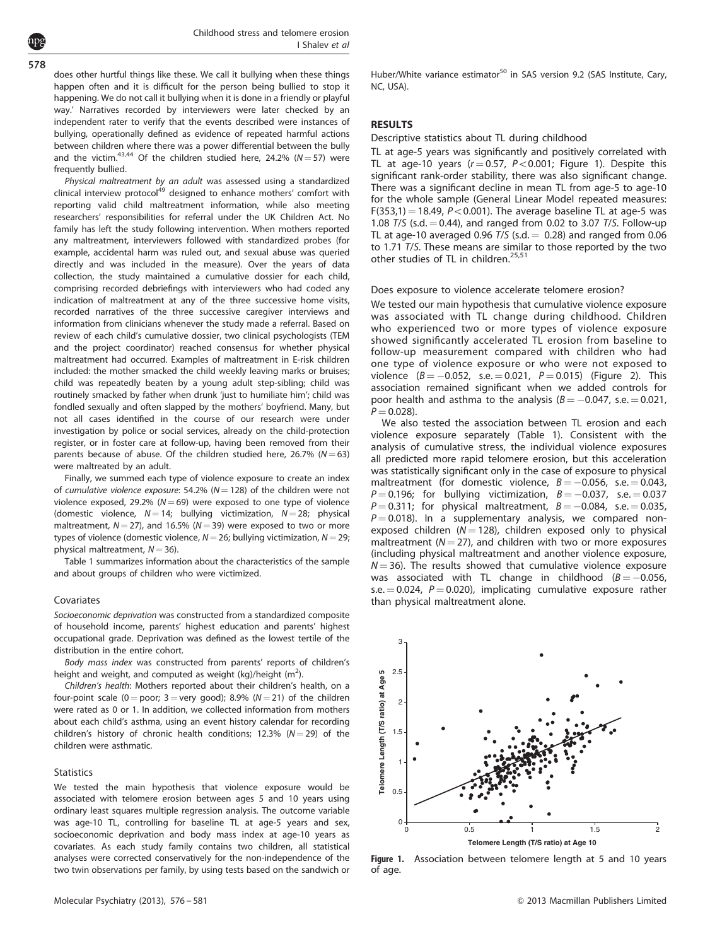does other hurtful things like these. We call it bullying when these things happen often and it is difficult for the person being bullied to stop it happening. We do not call it bullying when it is done in a friendly or playful way.' Narratives recorded by interviewers were later checked by an independent rater to verify that the events described were instances of bullying, operationally defined as evidence of repeated harmful actions between children where there was a power differential between the bully and the victim.<sup>[43,44](#page-5-0)</sup> Of the children studied here, 24.2% ( $N = 57$ ) were frequently bullied.

Physical maltreatment by an adult was assessed using a standardized clinical interview protocol<sup>[49](#page-5-0)</sup> designed to enhance mothers' comfort with reporting valid child maltreatment information, while also meeting researchers' responsibilities for referral under the UK Children Act. No family has left the study following intervention. When mothers reported any maltreatment, interviewers followed with standardized probes (for example, accidental harm was ruled out, and sexual abuse was queried directly and was included in the measure). Over the years of data collection, the study maintained a cumulative dossier for each child, comprising recorded debriefings with interviewers who had coded any indication of maltreatment at any of the three successive home visits, recorded narratives of the three successive caregiver interviews and information from clinicians whenever the study made a referral. Based on review of each child's cumulative dossier, two clinical psychologists (TEM and the project coordinator) reached consensus for whether physical maltreatment had occurred. Examples of maltreatment in E-risk children included: the mother smacked the child weekly leaving marks or bruises; child was repeatedly beaten by a young adult step-sibling; child was routinely smacked by father when drunk 'just to humiliate him'; child was fondled sexually and often slapped by the mothers' boyfriend. Many, but not all cases identified in the course of our research were under investigation by police or social services, already on the child-protection register, or in foster care at follow-up, having been removed from their parents because of abuse. Of the children studied here, 26.7% ( $N = 63$ ) were maltreated by an adult.

Finally, we summed each type of violence exposure to create an index of cumulative violence exposure: 54.2% ( $N = 128$ ) of the children were not violence exposed, 29.2% ( $N = 69$ ) were exposed to one type of violence (domestic violence,  $N = 14$ ; bullying victimization,  $N = 28$ ; physical maltreatment,  $N = 27$ ), and 16.5% ( $N = 39$ ) were exposed to two or more types of violence (domestic violence,  $N = 26$ ; bullying victimization,  $N = 29$ ; physical maltreatment,  $N = 36$ ).

[Table 1](#page-1-0) summarizes information about the characteristics of the sample and about groups of children who were victimized.

#### Covariates

Socioeconomic deprivation was constructed from a standardized composite of household income, parents' highest education and parents' highest occupational grade. Deprivation was defined as the lowest tertile of the distribution in the entire cohort.

Body mass index was constructed from parents' reports of children's height and weight, and computed as weight (kg)/height  $(m^2)$ .

Children's health: Mothers reported about their children's health, on a four-point scale (0 = poor; 3 = very good); 8.9% ( $N = 21$ ) of the children were rated as 0 or 1. In addition, we collected information from mothers about each child's asthma, using an event history calendar for recording children's history of chronic health conditions; 12.3% ( $N = 29$ ) of the children were asthmatic.

## **Statistics**

We tested the main hypothesis that violence exposure would be associated with telomere erosion between ages 5 and 10 years using ordinary least squares multiple regression analysis. The outcome variable was age-10 TL, controlling for baseline TL at age-5 years and sex, socioeconomic deprivation and body mass index at age-10 years as covariates. As each study family contains two children, all statistical analyses were corrected conservatively for the non-independence of the two twin observations per family, by using tests based on the sandwich or

Huber/White variance estimator<sup>50</sup> in SAS version 9.2 (SAS Institute, Cary, NC, USA).

## RESULTS

## Descriptive statistics about TL during childhood

TL at age-5 years was significantly and positively correlated with TL at age-10 years  $(r = 0.57, P < 0.001$ ; Figure 1). Despite this significant rank-order stability, there was also significant change. There was a significant decline in mean TL from age-5 to age-10 for the whole sample (General Linear Model repeated measures:  $F(353.1) = 18.49$ ,  $P < 0.001$ ). The average baseline TL at age-5 was 1.08  $T/S$  (s.d.  $= 0.44$ ), and ranged from 0.02 to 3.07 T/S. Follow-up TL at age-10 averaged 0.96  $T/S$  (s.d.  $= 0.28$ ) and ranged from 0.06 to 1.71 T/S. These means are similar to those reported by the two other studies of TL in children.<sup>[25,51](#page-4-0)</sup>

#### Does exposure to violence accelerate telomere erosion?

We tested our main hypothesis that cumulative violence exposure was associated with TL change during childhood. Children who experienced two or more types of violence exposure showed significantly accelerated TL erosion from baseline to follow-up measurement compared with children who had one type of violence exposure or who were not exposed to violence  $(B = -0.052, s.e. = 0.021, P = 0.015)$  [\(Figure 2](#page-3-0)). This association remained significant when we added controls for poor health and asthma to the analysis ( $B = -0.047$ , s.e.  $= 0.021$ ,  $P = 0.028$ ).

We also tested the association between TL erosion and each violence exposure separately ([Table 1\)](#page-1-0). Consistent with the analysis of cumulative stress, the individual violence exposures all predicted more rapid telomere erosion, but this acceleration was statistically significant only in the case of exposure to physical maltreatment (for domestic violence,  $B = -0.056$ , s.e.  $= 0.043$ ,  $P = 0.196$ ; for bullying victimization,  $B = -0.037$ , s.e.  $= 0.037$  $P = 0.311$ ; for physical maltreatment,  $B = -0.084$ , s.e.  $= 0.035$ ,  $P = 0.018$ ). In a supplementary analysis, we compared nonexposed children ( $N = 128$ ), children exposed only to physical maltreatment ( $N = 27$ ), and children with two or more exposures (including physical maltreatment and another violence exposure,  $N = 36$ ). The results showed that cumulative violence exposure was associated with TL change in childhood  $(B = -0.056)$ s.e.  $= 0.024$ ,  $P = 0.020$ ), implicating cumulative exposure rather than physical maltreatment alone.



Figure 1. Association between telomere length at 5 and 10 years of age.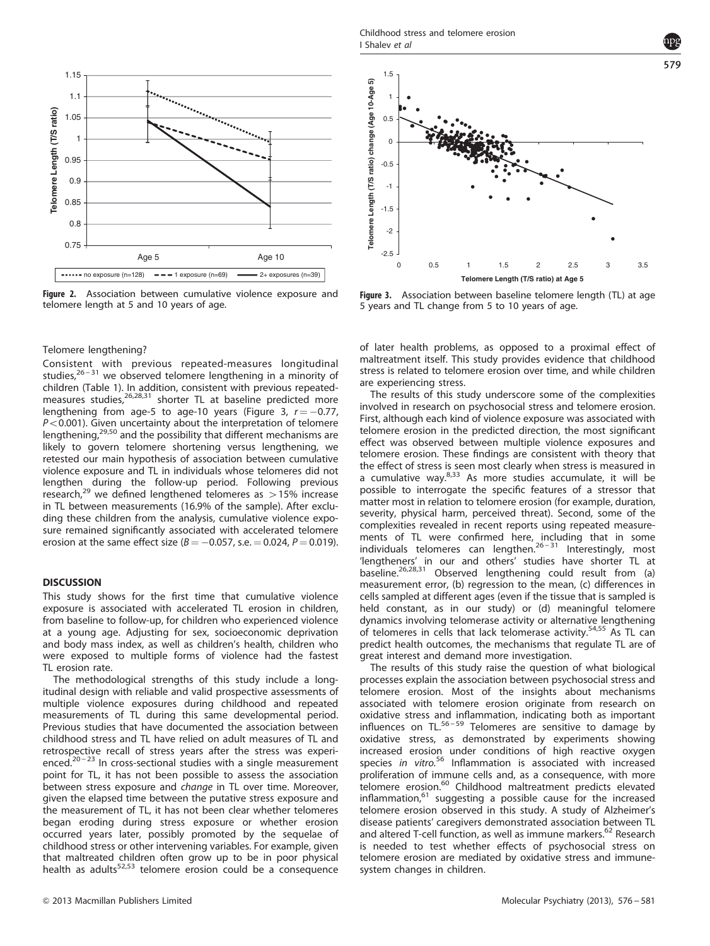<span id="page-3-0"></span>

Figure 2. Association between cumulative violence exposure and telomere length at 5 and 10 years of age.

## Telomere lengthening?

Consistent with previous repeated-measures longitudinal studies, $26 - 31$  we observed telomere lengthening in a minority of children ([Table 1](#page-1-0)). In addition, consistent with previous repeated-measures studies, [26,28,31](#page-5-0) shorter TL at baseline predicted more lengthening from age-5 to age-10 years (Figure 3,  $r = -0.77$ ,  $P < 0.001$ ). Given uncertainty about the interpretation of telomere lengthening,  $29,50$  and the possibility that different mechanisms are likely to govern telomere shortening versus lengthening, we retested our main hypothesis of association between cumulative violence exposure and TL in individuals whose telomeres did not lengthen during the follow-up period. Following previous research,<sup>[29](#page-5-0)</sup> we defined lengthened telomeres as  $>$  15% increase in TL between measurements (16.9% of the sample). After excluding these children from the analysis, cumulative violence exposure remained significantly associated with accelerated telomere erosion at the same effect size ( $B = -0.057$ , s.e.  $= 0.024$ ,  $P = 0.019$ ).

## **DISCUSSION**

This study shows for the first time that cumulative violence exposure is associated with accelerated TL erosion in children, from baseline to follow-up, for children who experienced violence at a young age. Adjusting for sex, socioeconomic deprivation and body mass index, as well as children's health, children who were exposed to multiple forms of violence had the fastest TL erosion rate.

The methodological strengths of this study include a longitudinal design with reliable and valid prospective assessments of multiple violence exposures during childhood and repeated measurements of TL during this same developmental period. Previous studies that have documented the association between childhood stress and TL have relied on adult measures of TL and retrospective recall of stress years after the stress was experienced.<sup>20-23</sup> In cross-sectional studies with a single measurement point for TL, it has not been possible to assess the association between stress exposure and change in TL over time. Moreover, given the elapsed time between the putative stress exposure and the measurement of TL, it has not been clear whether telomeres began eroding during stress exposure or whether erosion occurred years later, possibly promoted by the sequelae of childhood stress or other intervening variables. For example, given that maltreated children often grow up to be in poor physical health as adults<sup>[52,53](#page-5-0)</sup> telomere erosion could be a consequence

Childhood stress and telomere erosion I Shalev et al



Figure 3. Association between baseline telomere length (TL) at age 5 years and TL change from 5 to 10 years of age.

of later health problems, as opposed to a proximal effect of maltreatment itself. This study provides evidence that childhood stress is related to telomere erosion over time, and while children are experiencing stress.

The results of this study underscore some of the complexities involved in research on psychosocial stress and telomere erosion. First, although each kind of violence exposure was associated with telomere erosion in the predicted direction, the most significant effect was observed between multiple violence exposures and telomere erosion. These findings are consistent with theory that the effect of stress is seen most clearly when stress is measured in a cumulative way. $8,33$  As more studies accumulate, it will be possible to interrogate the specific features of a stressor that matter most in relation to telomere erosion (for example, duration, severity, physical harm, perceived threat). Second, some of the complexities revealed in recent reports using repeated measurements of TL were confirmed here, including that in some<br>individuals telomeres can lengthen.<sup>26–31</sup> Interestingly, most 'lengtheners' in our and others' studies have shorter TL at baseline.<sup>[26,28,31](#page-5-0)</sup> Observed lengthening could result from (a) measurement error, (b) regression to the mean, (c) differences in cells sampled at different ages (even if the tissue that is sampled is held constant, as in our study) or (d) meaningful telomere dynamics involving telomerase activity or alternative lengthening of telomeres in cells that lack telomerase activity.<sup>[54,55](#page-5-0)</sup> As TL can predict health outcomes, the mechanisms that regulate TL are of great interest and demand more investigation.

The results of this study raise the question of what biological processes explain the association between psychosocial stress and telomere erosion. Most of the insights about mechanisms associated with telomere erosion originate from research on oxidative stress and inflammation, indicating both as important influences on  $TL^{56-59}$  Telomeres are sensitive to damage by oxidative stress, as demonstrated by experiments showing increased erosion under conditions of high reactive oxygen<br>species *in vitro.<sup>[56](#page-5-0)</sup>* Inflammation is associated with increased proliferation of immune cells and, as a consequence, with more telomere erosion.<sup>[60](#page-5-0)</sup> Childhood maltreatment predicts elevated inflammation,<sup>[61](#page-5-0)</sup> suggesting a possible cause for the increased telomere erosion observed in this study. A study of Alzheimer's disease patients' caregivers demonstrated association between TL and altered T-cell function, as well as immune markers.<sup>[62](#page-5-0)</sup> Research is needed to test whether effects of psychosocial stress on telomere erosion are mediated by oxidative stress and immunesystem changes in children.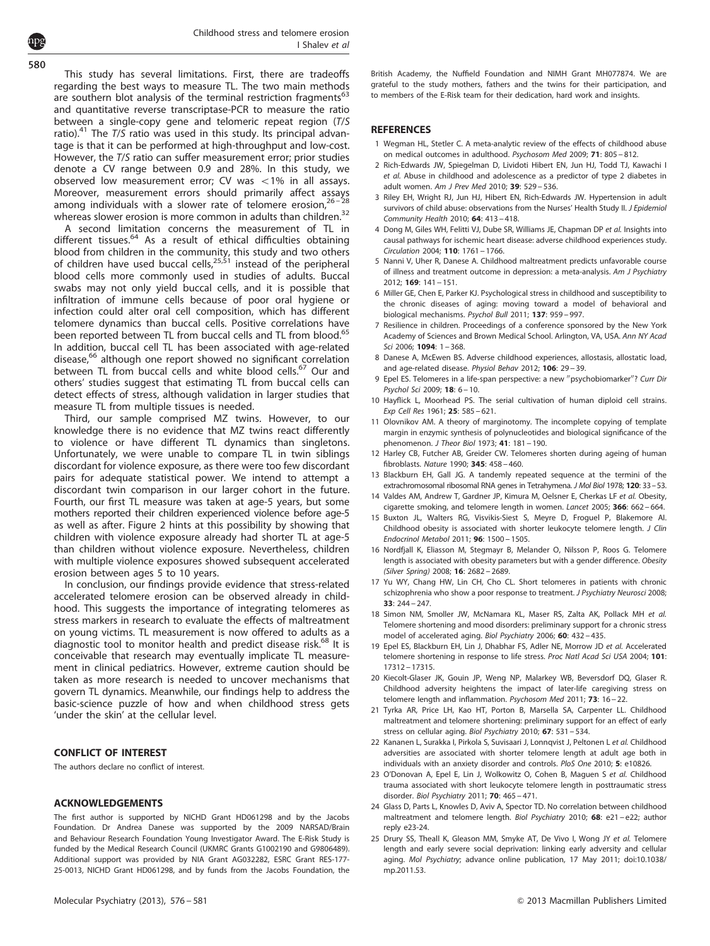<span id="page-4-0"></span>580

This study has several limitations. First, there are tradeoffs regarding the best ways to measure TL. The two main methods are southern blot analysis of the terminal restriction fragments<sup>[63](#page-5-0)</sup> and quantitative reverse transcriptase-PCR to measure the ratio between a single-copy gene and telomeric repeat region (T/S ratio). $41$  The T/S ratio was used in this study. Its principal advantage is that it can be performed at high-throughput and low-cost. However, the T/S ratio can suffer measurement error; prior studies denote a CV range between 0.9 and 28%. In this study, we observed low measurement error; CV was  $<$  1% in all assays. Moreover, measurement errors should primarily affect assays among individuals with a slower rate of telomere erosion,  $26 - 28$ whereas slower erosion is more common in adults than children.<sup>[32](#page-5-0)</sup>

A second limitation concerns the measurement of TL in different tissues.<sup>[64](#page-5-0)</sup> As a result of ethical difficulties obtaining blood from children in the community, this study and two others<br>of children have used buccal cells,<sup>25,51</sup> instead of the peripheral blood cells more commonly used in studies of adults. Buccal swabs may not only yield buccal cells, and it is possible that infiltration of immune cells because of poor oral hygiene or infection could alter oral cell composition, which has different telomere dynamics than buccal cells. Positive correlations have been reported between TL from buccal cells and TL from blood.<sup>[65](#page-5-0)</sup> In addition, buccal cell TL has been associated with age-related disease,<sup>[66](#page-5-0)</sup> although one report showed no significant correlation between TL from buccal cells and white blood cells.<sup>[67](#page-5-0)</sup> Our and others' studies suggest that estimating TL from buccal cells can detect effects of stress, although validation in larger studies that measure TL from multiple tissues is needed.

Third, our sample comprised MZ twins. However, to our knowledge there is no evidence that MZ twins react differently to violence or have different TL dynamics than singletons. Unfortunately, we were unable to compare TL in twin siblings discordant for violence exposure, as there were too few discordant pairs for adequate statistical power. We intend to attempt a discordant twin comparison in our larger cohort in the future. Fourth, our first TL measure was taken at age-5 years, but some mothers reported their children experienced violence before age-5 as well as after. [Figure 2](#page-3-0) hints at this possibility by showing that children with violence exposure already had shorter TL at age-5 than children without violence exposure. Nevertheless, children with multiple violence exposures showed subsequent accelerated erosion between ages 5 to 10 years.

In conclusion, our findings provide evidence that stress-related accelerated telomere erosion can be observed already in childhood. This suggests the importance of integrating telomeres as stress markers in research to evaluate the effects of maltreatment on young victims. TL measurement is now offered to adults as a diagnostic tool to monitor health and predict disease risk.<sup>[68](#page-5-0)</sup> It is conceivable that research may eventually implicate TL measurement in clinical pediatrics. However, extreme caution should be taken as more research is needed to uncover mechanisms that govern TL dynamics. Meanwhile, our findings help to address the basic-science puzzle of how and when childhood stress gets 'under the skin' at the cellular level.

## CONFLICT OF INTEREST

The authors declare no conflict of interest.

## ACKNOWLEDGEMENTS

The first author is supported by NICHD Grant HD061298 and by the Jacobs Foundation. Dr Andrea Danese was supported by the 2009 NARSAD/Brain and Behaviour Research Foundation Young Investigator Award. The E-Risk Study is funded by the Medical Research Council (UKMRC Grants G1002190 and G9806489). Additional support was provided by NIA Grant AG032282, ESRC Grant RES-177- 25-0013, NICHD Grant HD061298, and by funds from the Jacobs Foundation, the British Academy, the Nuffield Foundation and NIMH Grant MH077874. We are grateful to the study mothers, fathers and the twins for their participation, and to members of the E-Risk team for their dedication, hard work and insights.

#### **REFERENCES**

- 1 Wegman HL, Stetler C. A meta-analytic review of the effects of childhood abuse on medical outcomes in adulthood. Psychosom Med 2009; 71: 805-812.
- 2 Rich-Edwards JW, Spiegelman D, Lividoti Hibert EN, Jun HJ, Todd TJ, Kawachi I et al. Abuse in childhood and adolescence as a predictor of type 2 diabetes in adult women. Am J Prev Med 2010; 39: 529 - 536.
- 3 Riley EH, Wright RJ, Jun HJ, Hibert EN, Rich-Edwards JW. Hypertension in adult survivors of child abuse: observations from the Nurses' Health Study II. J Epidemiol Community Health 2010: 64: 413-418.
- 4 Dong M, Giles WH, Felitti VJ, Dube SR, Williams JE, Chapman DP et al. Insights into causal pathways for ischemic heart disease: adverse childhood experiences study. Circulation 2004; 110: 1761 - 1766.
- 5 Nanni V, Uher R, Danese A. Childhood maltreatment predicts unfavorable course of illness and treatment outcome in depression: a meta-analysis. Am J Psychiatry 2012; 169: 141 -- 151.
- 6 Miller GE, Chen E, Parker KJ. Psychological stress in childhood and susceptibility to the chronic diseases of aging: moving toward a model of behavioral and biological mechanisms. Psychol Bull 2011; 137: 959-997.
- 7 Resilience in children. Proceedings of a conference sponsored by the New York Academy of Sciences and Brown Medical School. Arlington, VA, USA. Ann NY Acad Sci 2006: 1094:  $1 - 368$ .
- 8 Danese A, McEwen BS. Adverse childhood experiences, allostasis, allostatic load, and age-related disease. Physiol Behav 2012;  $106: 29 - 39$ .
- 9 Epel ES. Telomeres in a life-span perspective: a new "psychobiomarker"? Curr Dir Psychol Sci 2009; 18: 6-10.
- 10 Hayflick L, Moorhead PS. The serial cultivation of human diploid cell strains. Exp Cell Res 1961: 25: 585-621.
- 11 Olovnikov AM. A theory of marginotomy. The incomplete copying of template margin in enzymic synthesis of polynucleotides and biological significance of the phenomenon. J Theor Biol 1973; 41: 181 - 190.
- 12 Harley CB, Futcher AB, Greider CW. Telomeres shorten during ageing of human fibroblasts. Nature 1990: 345: 458-460.
- 13 Blackburn EH, Gall JG. A tandemly repeated sequence at the termini of the extrachromosomal ribosomal RNA genes in Tetrahymena. J Mol Biol 1978; 120: 33 - 53.
- 14 Valdes AM, Andrew T, Gardner JP, Kimura M, Oelsner E, Cherkas LF et al. Obesity, cigarette smoking, and telomere length in women. Lancet 2005; 366: 662-664.
- 15 Buxton JL, Walters RG, Visvikis-Siest S, Meyre D, Froguel P, Blakemore AI. Childhood obesity is associated with shorter leukocyte telomere length. J Clin Endocrinol Metabol 2011; 96: 1500 - 1505.
- 16 Nordfjall K, Eliasson M, Stegmayr B, Melander O, Nilsson P, Roos G. Telomere length is associated with obesity parameters but with a gender difference. Obesity (Silver Spring) 2008: 16: 2682 - 2689.
- 17 Yu WY, Chang HW, Lin CH, Cho CL. Short telomeres in patients with chronic schizophrenia who show a poor response to treatment. J Psychiatry Neurosci 2008;  $33: 244 - 247$
- 18 Simon NM, Smoller JW, McNamara KL, Maser RS, Zalta AK, Pollack MH et al. Telomere shortening and mood disorders: preliminary support for a chronic stress model of accelerated aging. Biol Psychiatry 2006; 60: 432-435.
- 19 Epel ES, Blackburn EH, Lin J, Dhabhar FS, Adler NE, Morrow JD et al. Accelerated telomere shortening in response to life stress. Proc Natl Acad Sci USA 2004; 101: 17312 -- 17315.
- 20 Kiecolt-Glaser JK, Gouin JP, Weng NP, Malarkey WB, Beversdorf DQ, Glaser R. Childhood adversity heightens the impact of later-life caregiving stress on telomere length and inflammation. Psychosom Med 2011;  $73: 16-22$
- 21 Tyrka AR, Price LH, Kao HT, Porton B, Marsella SA, Carpenter LL. Childhood maltreatment and telomere shortening: preliminary support for an effect of early stress on cellular aging. Biol Psychiatry 2010; 67: 531 - 534.
- 22 Kananen L, Surakka I, Pirkola S, Suvisaari J, Lonnqvist J, Peltonen L et al. Childhood adversities are associated with shorter telomere length at adult age both in individuals with an anxiety disorder and controls. PloS One 2010; 5: e10826.
- 23 O'Donovan A, Epel E, Lin J, Wolkowitz O, Cohen B, Maguen S et al. Childhood trauma associated with short leukocyte telomere length in posttraumatic stress disorder. Biol Psychiatry 2011:  $70:465 - 471$ .
- 24 Glass D, Parts L, Knowles D, Aviv A, Spector TD. No correlation between childhood maltreatment and telomere length. Biol Psychiatry 2010; 68: e21-e22; author reply e23-24.
- 25 Drury SS, Theall K, Gleason MM, Smyke AT, De Vivo I, Wong JY et al. Telomere length and early severe social deprivation: linking early adversity and cellular aging. Mol Psychiatry; advance online publication, 17 May 2011; doi:10.1038/ mp.2011.53.